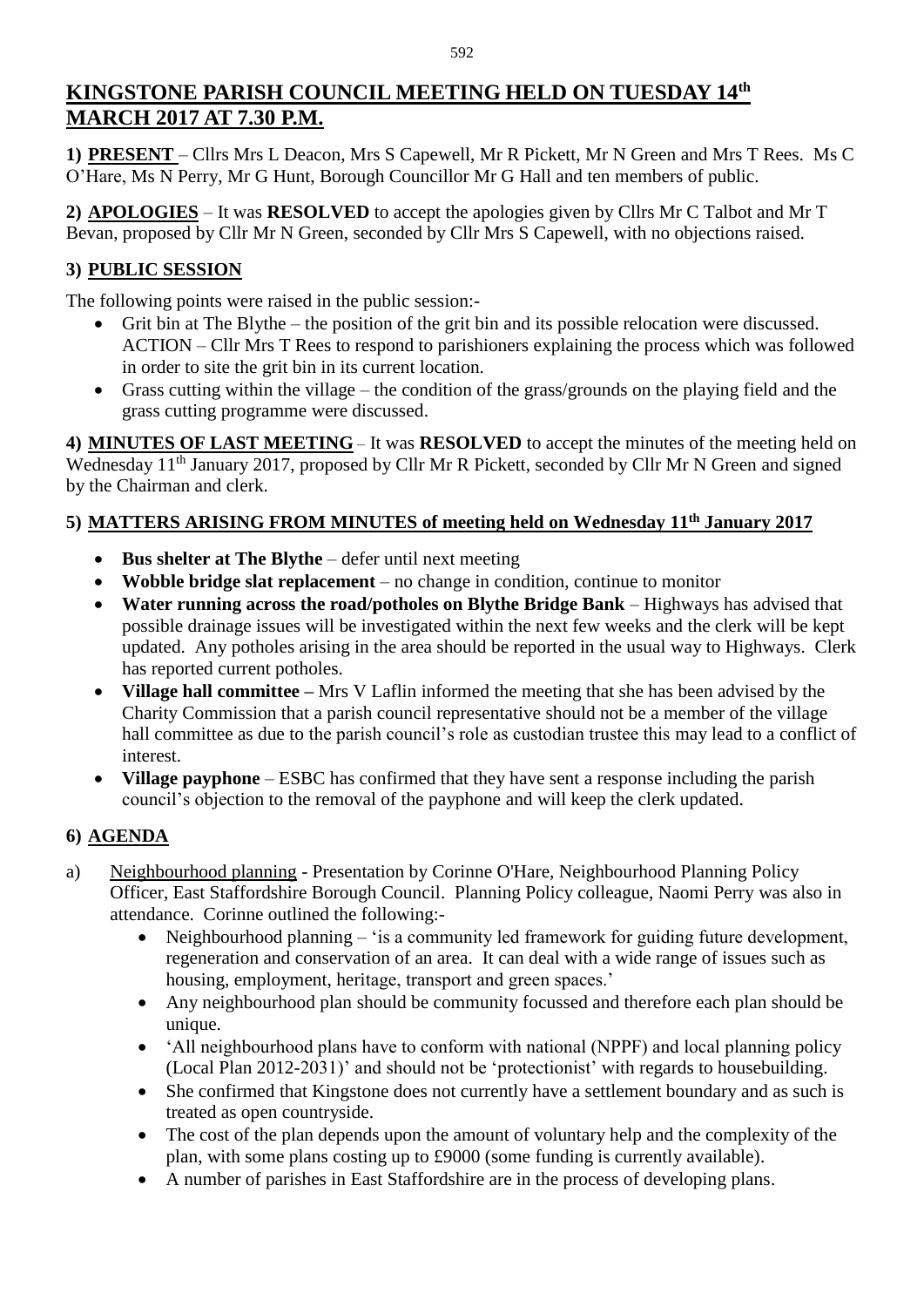# **KINGSTONE PARISH COUNCIL MEETING HELD ON TUESDAY 14 th MARCH 2017 AT 7.30 P.M.**

**1) PRESENT** – Cllrs Mrs L Deacon, Mrs S Capewell, Mr R Pickett, Mr N Green and Mrs T Rees. Ms C O'Hare, Ms N Perry, Mr G Hunt, Borough Councillor Mr G Hall and ten members of public.

**2) APOLOGIES** – It was **RESOLVED** to accept the apologies given by Cllrs Mr C Talbot and Mr T Bevan, proposed by Cllr Mr N Green, seconded by Cllr Mrs S Capewell, with no objections raised.

# **3) PUBLIC SESSION**

The following points were raised in the public session:-

- Grit bin at The Blythe the position of the grit bin and its possible relocation were discussed. ACTION – Cllr Mrs T Rees to respond to parishioners explaining the process which was followed in order to site the grit bin in its current location.
- Grass cutting within the village the condition of the grass/grounds on the playing field and the grass cutting programme were discussed.

**4) MINUTES OF LAST MEETING** – It was **RESOLVED** to accept the minutes of the meeting held on Wednesday 11<sup>th</sup> January 2017, proposed by Cllr Mr R Pickett, seconded by Cllr Mr N Green and signed by the Chairman and clerk.

## **5) MATTERS ARISING FROM MINUTES of meeting held on Wednesday 11 th January 2017**

- **Bus shelter at The Blythe** defer until next meeting
- **Wobble bridge slat replacement** no change in condition, continue to monitor
- **Water running across the road/potholes on Blythe Bridge Bank** Highways has advised that possible drainage issues will be investigated within the next few weeks and the clerk will be kept updated. Any potholes arising in the area should be reported in the usual way to Highways. Clerk has reported current potholes.
- **Village hall committee –** Mrs V Laflin informed the meeting that she has been advised by the Charity Commission that a parish council representative should not be a member of the village hall committee as due to the parish council's role as custodian trustee this may lead to a conflict of interest.
- **Village payphone** ESBC has confirmed that they have sent a response including the parish council's objection to the removal of the payphone and will keep the clerk updated.

## **6) AGENDA**

- a) Neighbourhood planning Presentation by Corinne O'Hare, Neighbourhood Planning Policy Officer, East Staffordshire Borough Council. Planning Policy colleague, Naomi Perry was also in attendance. Corinne outlined the following:-
	- Neighbourhood planning 'is a community led framework for guiding future development, regeneration and conservation of an area. It can deal with a wide range of issues such as housing, employment, heritage, transport and green spaces.'
	- Any neighbourhood plan should be community focussed and therefore each plan should be unique.
	- 'All neighbourhood plans have to conform with national (NPPF) and local planning policy (Local Plan 2012-2031)' and should not be 'protectionist' with regards to housebuilding.
	- She confirmed that Kingstone does not currently have a settlement boundary and as such is treated as open countryside.
	- The cost of the plan depends upon the amount of voluntary help and the complexity of the plan, with some plans costing up to £9000 (some funding is currently available).
	- A number of parishes in East Staffordshire are in the process of developing plans.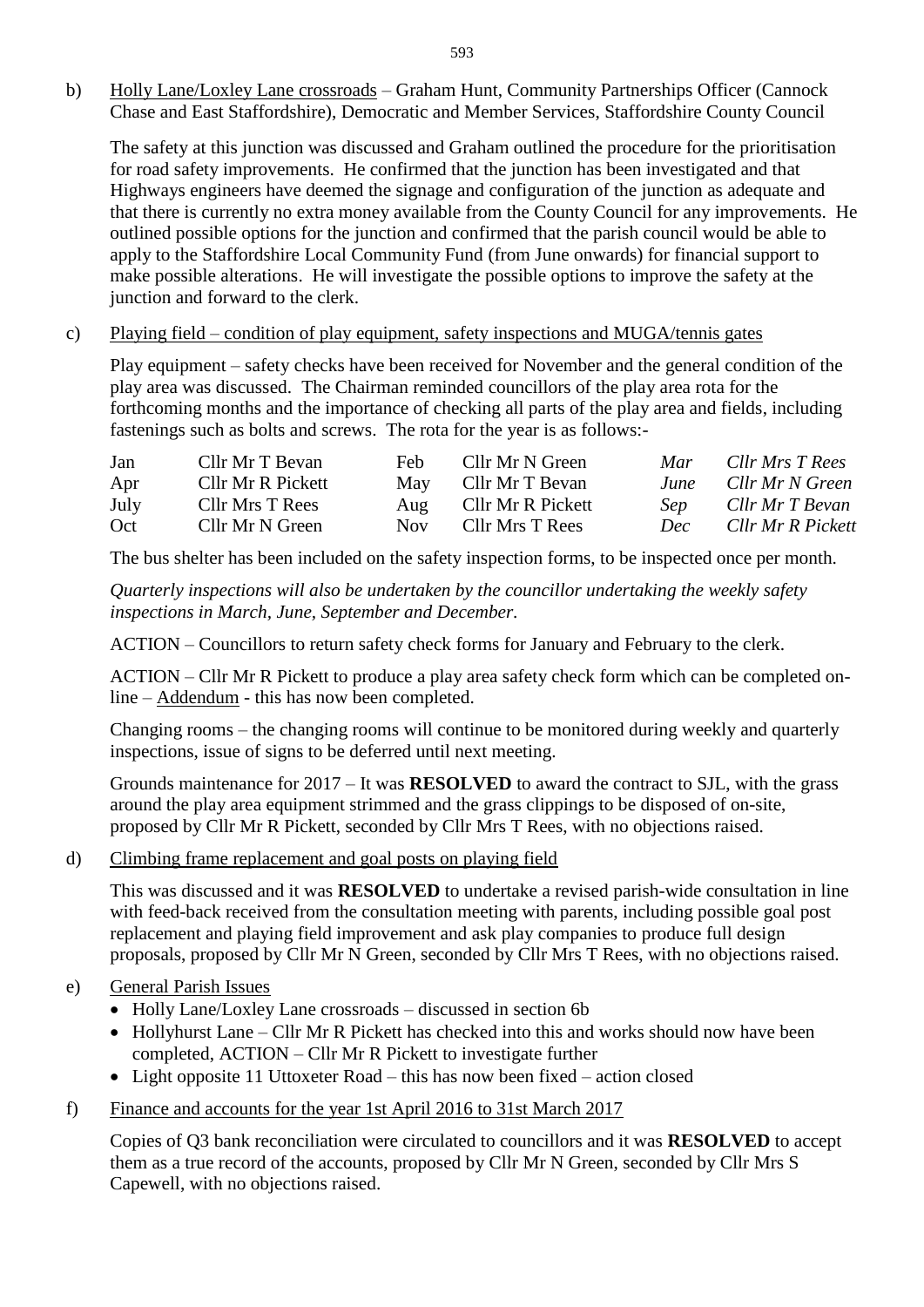b) Holly Lane/Loxley Lane crossroads – Graham Hunt, Community Partnerships Officer (Cannock Chase and East Staffordshire), Democratic and Member Services, Staffordshire County Council

The safety at this junction was discussed and Graham outlined the procedure for the prioritisation for road safety improvements. He confirmed that the junction has been investigated and that Highways engineers have deemed the signage and configuration of the junction as adequate and that there is currently no extra money available from the County Council for any improvements. He outlined possible options for the junction and confirmed that the parish council would be able to apply to the Staffordshire Local Community Fund (from June onwards) for financial support to make possible alterations. He will investigate the possible options to improve the safety at the junction and forward to the clerk.

c) Playing field – condition of play equipment, safety inspections and MUGA/tennis gates

Play equipment – safety checks have been received for November and the general condition of the play area was discussed. The Chairman reminded councillors of the play area rota for the forthcoming months and the importance of checking all parts of the play area and fields, including fastenings such as bolts and screws. The rota for the year is as follows:-

| Jan  | Cllr Mr T Bevan   | Feb  | Cllr Mr N Green   | Mar        | Cllr Mrs T Rees   |
|------|-------------------|------|-------------------|------------|-------------------|
| Apr  | Cllr Mr R Pickett | May  | Cllr Mr T Bevan   | June       | Cllr Mr N Green   |
| July | Cllr Mrs T Rees   | Aug  | Cllr Mr R Pickett | <b>Sep</b> | Cllr Mr T Bevan   |
| Oct  | Cllr Mr N Green   | Nov. | Cllr Mrs T Rees   | Dec        | Cllr Mr R Pickett |

The bus shelter has been included on the safety inspection forms, to be inspected once per month.

*Quarterly inspections will also be undertaken by the councillor undertaking the weekly safety inspections in March, June, September and December.*

ACTION – Councillors to return safety check forms for January and February to the clerk.

ACTION – Cllr Mr R Pickett to produce a play area safety check form which can be completed online – Addendum - this has now been completed.

Changing rooms – the changing rooms will continue to be monitored during weekly and quarterly inspections, issue of signs to be deferred until next meeting.

Grounds maintenance for 2017 – It was **RESOLVED** to award the contract to SJL, with the grass around the play area equipment strimmed and the grass clippings to be disposed of on-site, proposed by Cllr Mr R Pickett, seconded by Cllr Mrs T Rees, with no objections raised.

d) Climbing frame replacement and goal posts on playing field

This was discussed and it was **RESOLVED** to undertake a revised parish-wide consultation in line with feed-back received from the consultation meeting with parents, including possible goal post replacement and playing field improvement and ask play companies to produce full design proposals, proposed by Cllr Mr N Green, seconded by Cllr Mrs T Rees, with no objections raised.

- e) General Parish Issues
	- Holly Lane/Loxley Lane crossroads discussed in section 6b
	- Hollyhurst Lane Cllr Mr R Pickett has checked into this and works should now have been completed, ACTION – Cllr Mr R Pickett to investigate further
	- Light opposite 11 Uttoxeter Road this has now been fixed action closed
- f) Finance and accounts for the year 1st April 2016 to 31st March 2017

Copies of Q3 bank reconciliation were circulated to councillors and it was **RESOLVED** to accept them as a true record of the accounts, proposed by Cllr Mr N Green, seconded by Cllr Mrs S Capewell, with no objections raised.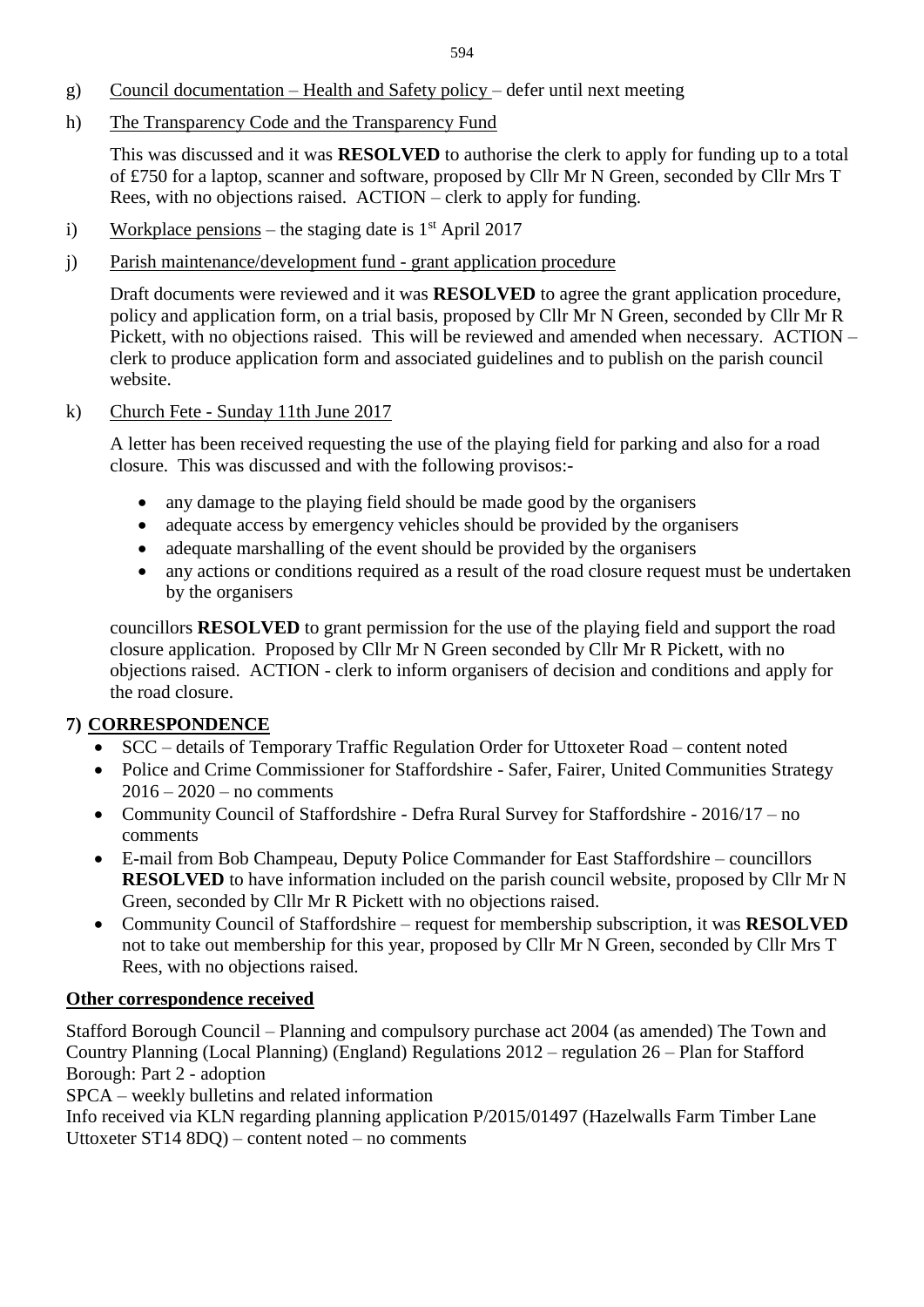- g) Council documentation Health and Safety policy defer until next meeting
- h) The Transparency Code and the Transparency Fund

This was discussed and it was **RESOLVED** to authorise the clerk to apply for funding up to a total of £750 for a laptop, scanner and software, proposed by Cllr Mr N Green, seconded by Cllr Mrs T Rees, with no objections raised. ACTION – clerk to apply for funding.

- i) Workplace pensions the staging date is  $1<sup>st</sup>$  April 2017
- j) Parish maintenance/development fund grant application procedure

Draft documents were reviewed and it was **RESOLVED** to agree the grant application procedure, policy and application form, on a trial basis, proposed by Cllr Mr N Green, seconded by Cllr Mr R Pickett, with no objections raised. This will be reviewed and amended when necessary. ACTION – clerk to produce application form and associated guidelines and to publish on the parish council website.

k) Church Fete - Sunday 11th June 2017

A letter has been received requesting the use of the playing field for parking and also for a road closure. This was discussed and with the following provisos:-

- any damage to the playing field should be made good by the organisers
- adequate access by emergency vehicles should be provided by the organisers
- adequate marshalling of the event should be provided by the organisers
- any actions or conditions required as a result of the road closure request must be undertaken by the organisers

councillors **RESOLVED** to grant permission for the use of the playing field and support the road closure application. Proposed by Cllr Mr N Green seconded by Cllr Mr R Pickett, with no objections raised. ACTION - clerk to inform organisers of decision and conditions and apply for the road closure.

### **7) CORRESPONDENCE**

- SCC details of Temporary Traffic Regulation Order for Uttoxeter Road content noted
- Police and Crime Commissioner for Staffordshire Safer, Fairer, United Communities Strategy  $2016 - 2020 - no comments$
- Community Council of Staffordshire Defra Rural Survey for Staffordshire 2016/17 no comments
- E-mail from Bob Champeau, Deputy Police Commander for East Staffordshire councillors **RESOLVED** to have information included on the parish council website, proposed by Cllr Mr N Green, seconded by Cllr Mr R Pickett with no objections raised.
- Community Council of Staffordshire request for membership subscription, it was **RESOLVED** not to take out membership for this year, proposed by Cllr Mr N Green, seconded by Cllr Mrs T Rees, with no objections raised.

#### **Other correspondence received**

Stafford Borough Council – Planning and compulsory purchase act 2004 (as amended) The Town and Country Planning (Local Planning) (England) Regulations 2012 – regulation 26 – Plan for Stafford Borough: Part 2 - adoption

SPCA – weekly bulletins and related information

Info received via KLN regarding planning application P/2015/01497 (Hazelwalls Farm Timber Lane Uttoxeter ST14 8DQ) – content noted – no comments